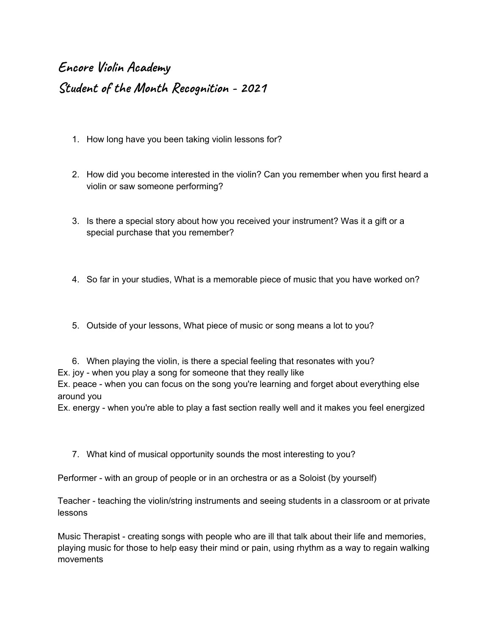## **Encore Violin Academy Student of the Month Recognition - 2021**

- 1. How long have you been taking violin lessons for?
- 2. How did you become interested in the violin? Can you remember when you first heard a violin or saw someone performing?
- 3. Is there a special story about how you received your instrument? Was it a gift or a special purchase that you remember?
- 4. So far in your studies, What is a memorable piece of music that you have worked on?
- 5. Outside of your lessons, What piece of music or song means a lot to you?

6. When playing the violin, is there a special feeling that resonates with you? Ex. joy - when you play a song for someone that they really like Ex. peace - when you can focus on the song you're learning and forget about everything else around you

Ex. energy - when you're able to play a fast section really well and it makes you feel energized

7. What kind of musical opportunity sounds the most interesting to you?

Performer - with an group of people or in an orchestra or as a Soloist (by yourself)

Teacher - teaching the violin/string instruments and seeing students in a classroom or at private lessons

Music Therapist - creating songs with people who are ill that talk about their life and memories, playing music for those to help easy their mind or pain, using rhythm as a way to regain walking movements